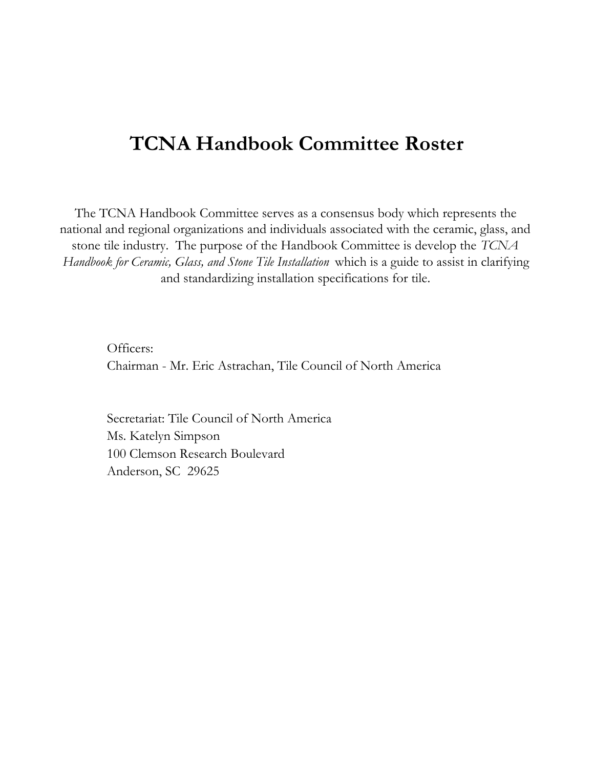## **TCNA Handbook Committee Roster**

The TCNA Handbook Committee serves as a consensus body which represents the national and regional organizations and individuals associated with the ceramic, glass, and stone tile industry. The purpose of the Handbook Committee is develop the *TCNA Handbook for Ceramic, Glass, and Stone Tile Installation* which is a guide to assist in clarifying and standardizing installation specifications for tile.

Officers: Chairman - Mr. Eric Astrachan, Tile Council of North America

Secretariat: Tile Council of North America Ms. Katelyn Simpson 100 Clemson Research Boulevard Anderson, SC 29625